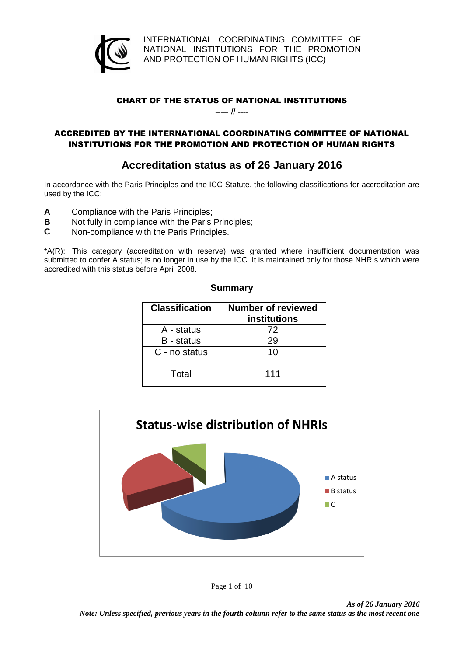

INTERNATIONAL COORDINATING COMMITTEE OF NATIONAL INSTITUTIONS FOR THE PROMOTION AND PROTECTION OF HUMAN RIGHTS (ICC)

## CHART OF THE STATUS OF NATIONAL INSTITUTIONS

----- // ----

## ACCREDITED BY THE INTERNATIONAL COORDINATING COMMITTEE OF NATIONAL INSTITUTIONS FOR THE PROMOTION AND PROTECTION OF HUMAN RIGHTS

# **Accreditation status as of 26 January 2016**

In accordance with the Paris Principles and the ICC Statute, the following classifications for accreditation are used by the ICC:

- **A** Compliance with the Paris Principles;
- **B** Not fully in compliance with the Paris Principles;<br>**C** Non-compliance with the Paris Principles.
- **C** Non-compliance with the Paris Principles.

\*A(R): This category (accreditation with reserve) was granted where insufficient documentation was submitted to confer A status; is no longer in use by the ICC. It is maintained only for those NHRIs which were accredited with this status before April 2008.

**Summary**

| <b>Classification</b> | Number of reviewed<br><b>institutions</b> |
|-----------------------|-------------------------------------------|
| A - status            | 72                                        |
| B - status            | 29                                        |
| C - no status         | 10                                        |
| Total                 | 111                                       |



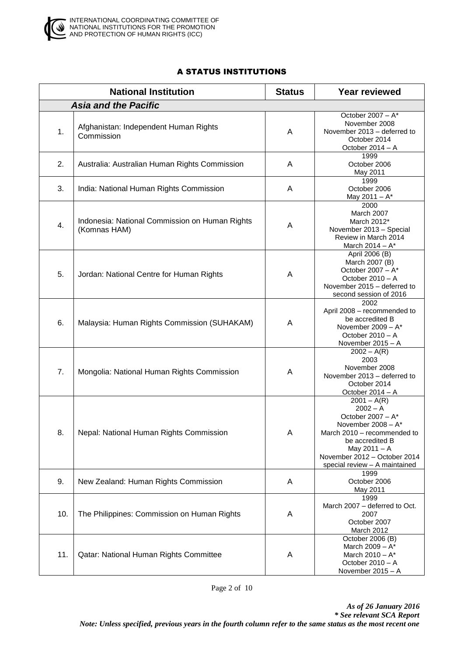

# A STATUS INSTITUTIONS

|     | <b>National Institution</b>                                    | <b>Status</b> | <b>Year reviewed</b>                                                                                                                                                                                         |
|-----|----------------------------------------------------------------|---------------|--------------------------------------------------------------------------------------------------------------------------------------------------------------------------------------------------------------|
|     | <b>Asia and the Pacific</b>                                    |               |                                                                                                                                                                                                              |
| 1.  | Afghanistan: Independent Human Rights<br>Commission            | A             | October $2007 - A^*$<br>November 2008<br>November 2013 - deferred to<br>October 2014<br>October 2014 - A                                                                                                     |
| 2.  | Australia: Australian Human Rights Commission                  | A             | 1999<br>October 2006<br>May 2011                                                                                                                                                                             |
| 3.  | India: National Human Rights Commission                        | A             | 1999<br>October 2006<br>May $2011 - A^*$                                                                                                                                                                     |
| 4.  | Indonesia: National Commission on Human Rights<br>(Komnas HAM) | Α             | 2000<br>March 2007<br>March 2012*<br>November 2013 - Special<br>Review in March 2014<br>March 2014 - A*                                                                                                      |
| 5.  | Jordan: National Centre for Human Rights                       | A             | April 2006 (B)<br>March 2007 (B)<br>October 2007 - A*<br>October 2010 - A<br>November 2015 - deferred to<br>second session of 2016                                                                           |
| 6.  | Malaysia: Human Rights Commission (SUHAKAM)                    | A             | 2002<br>April 2008 - recommended to<br>be accredited B<br>November $2009 - A^*$<br>October 2010 - A<br>November 2015 - A                                                                                     |
| 7.  | Mongolia: National Human Rights Commission                     | A             | $2002 - A(R)$<br>2003<br>November 2008<br>November 2013 - deferred to<br>October 2014<br>October 2014 - A                                                                                                    |
| 8.  | Nepal: National Human Rights Commission                        | A             | $2001 - A(R)$<br>$2002 - A$<br>October 2007 - A*<br>November $2008 - A^*$<br>March 2010 - recommended to<br>be accredited B<br>May 2011 - A<br>November 2012 - October 2014<br>special review - A maintained |
| 9.  | New Zealand: Human Rights Commission                           | A             | 1999<br>October 2006<br>May 2011                                                                                                                                                                             |
| 10. | The Philippines: Commission on Human Rights                    | A             | 1999<br>March 2007 - deferred to Oct.<br>2007<br>October 2007<br>March 2012                                                                                                                                  |
| 11. | Qatar: National Human Rights Committee                         | A             | October 2006 (B)<br>March $2009 - A^*$<br>March $2010 - A^*$<br>October 2010 - A<br>November 2015 - A                                                                                                        |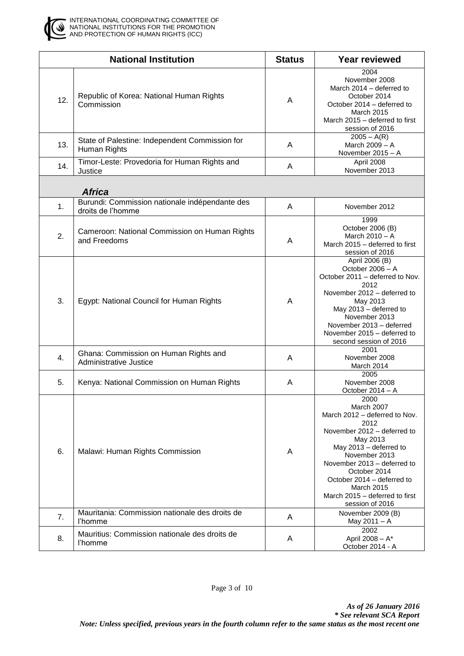

|     | <b>National Institution</b>                                         | <b>Status</b> | <b>Year reviewed</b>                                                                                                                                                                                                                                                                              |
|-----|---------------------------------------------------------------------|---------------|---------------------------------------------------------------------------------------------------------------------------------------------------------------------------------------------------------------------------------------------------------------------------------------------------|
| 12. | Republic of Korea: National Human Rights<br>Commission              | A             | 2004<br>November 2008<br>March 2014 - deferred to<br>October 2014<br>October 2014 - deferred to<br><b>March 2015</b><br>March 2015 - deferred to first<br>session of 2016                                                                                                                         |
| 13. | State of Palestine: Independent Commission for<br>Human Rights      | A             | $2005 - A(R)$<br>March 2009 - A<br>November 2015 - A                                                                                                                                                                                                                                              |
| 14. | Timor-Leste: Provedoria for Human Rights and<br>Justice             | A             | April 2008<br>November 2013                                                                                                                                                                                                                                                                       |
|     | <b>Africa</b>                                                       |               |                                                                                                                                                                                                                                                                                                   |
| 1.  | Burundi: Commission nationale indépendante des<br>droits de l'homme | A             | November 2012                                                                                                                                                                                                                                                                                     |
| 2.  | Cameroon: National Commission on Human Rights<br>and Freedoms       | A             | 1999<br>October 2006 (B)<br>March 2010 - A<br>March 2015 - deferred to first<br>session of 2016                                                                                                                                                                                                   |
| 3.  | Egypt: National Council for Human Rights                            | A             | April 2006 (B)<br>October 2006 - A<br>October 2011 - deferred to Nov.<br>2012<br>November 2012 - deferred to<br>May 2013<br>May 2013 - deferred to<br>November 2013<br>November 2013 - deferred<br>November 2015 - deferred to<br>second session of 2016                                          |
| 4.  | Ghana: Commission on Human Rights and<br>Administrative Justice     | A             | 2001<br>November 2008<br>March 2014                                                                                                                                                                                                                                                               |
| 5.  | Kenya: National Commission on Human Rights                          | A             | 2005<br>November 2008<br>October 2014 - A                                                                                                                                                                                                                                                         |
| 6.  | Malawi: Human Rights Commission                                     | A             | 2000<br>March 2007<br>March 2012 - deferred to Nov.<br>2012<br>November 2012 – deferred to<br>May 2013<br>May 2013 - deferred to<br>November 2013<br>November 2013 – deferred to<br>October 2014<br>October 2014 - deferred to<br>March 2015<br>March 2015 – deferred to first<br>session of 2016 |
| 7.  | Mauritania: Commission nationale des droits de<br>l'homme           | A             | November 2009 (B)<br>May 2011 - A                                                                                                                                                                                                                                                                 |
| 8.  | Mauritius: Commission nationale des droits de<br>l'homme            | A             | 2002<br>April 2008 - A*<br>October 2014 - A                                                                                                                                                                                                                                                       |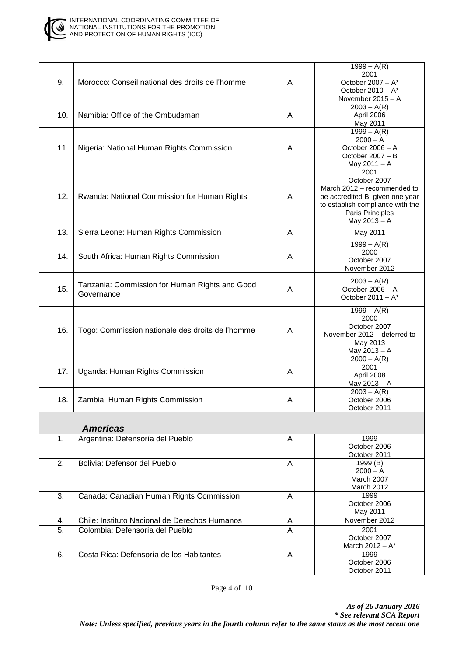

| 9.  | Morocco: Conseil national des droits de l'homme              | A              | $1999 - A(R)$<br>2001<br>October 2007 - A*<br>October $2010 - A^*$<br>November 2015 - A                                                                        |
|-----|--------------------------------------------------------------|----------------|----------------------------------------------------------------------------------------------------------------------------------------------------------------|
| 10. | Namibia: Office of the Ombudsman                             | A              | $2003 - A(R)$<br>April 2006<br>May 2011                                                                                                                        |
| 11. | Nigeria: National Human Rights Commission                    | A              | $1999 - A(R)$<br>$2000 - A$<br>October 2006 - A<br>October 2007 - B<br>May 2011 - A                                                                            |
| 12. | Rwanda: National Commission for Human Rights                 | A              | 2001<br>October 2007<br>March 2012 - recommended to<br>be accredited B; given one year<br>to establish compliance with the<br>Paris Principles<br>May 2013 - A |
| 13. | Sierra Leone: Human Rights Commission                        | Α              | May 2011                                                                                                                                                       |
| 14. | South Africa: Human Rights Commission                        | A              | $1999 - A(R)$<br>2000<br>October 2007<br>November 2012                                                                                                         |
| 15. | Tanzania: Commission for Human Rights and Good<br>Governance | A              | $2003 - A(R)$<br>October 2006 - A<br>October 2011 $- A^*$                                                                                                      |
| 16. | Togo: Commission nationale des droits de l'homme             | A              | $1999 - A(R)$<br>2000<br>October 2007<br>November 2012 - deferred to<br>May 2013<br>May 2013 - A                                                               |
| 17. | Uganda: Human Rights Commission                              | A              | $2000 - A(R)$<br>2001<br>April 2008<br>May 2013 - A                                                                                                            |
| 18. | Zambia: Human Rights Commission                              | A              | $2003 - A(R)$<br>October 2006<br>October 2011                                                                                                                  |
|     | <b>Americas</b>                                              |                |                                                                                                                                                                |
| 1.  | Argentina: Defensoría del Pueblo                             | A              | 1999<br>October 2006<br>October 2011                                                                                                                           |
| 2.  | Bolivia: Defensor del Pueblo                                 | A              | 1999 (B)<br>$2000 - A$<br>March 2007<br>March 2012                                                                                                             |
| 3.  | Canada: Canadian Human Rights Commission                     | A              | 1999<br>October 2006<br>May 2011                                                                                                                               |
| 4.  | Chile: Instituto Nacional de Derechos Humanos                | A              | November 2012                                                                                                                                                  |
| 5.  | Colombia: Defensoría del Pueblo                              | $\overline{A}$ | 2001<br>October 2007<br>March 2012 - A*                                                                                                                        |
| 6.  | Costa Rica: Defensoría de los Habitantes                     | A              | 1999<br>October 2006<br>October 2011                                                                                                                           |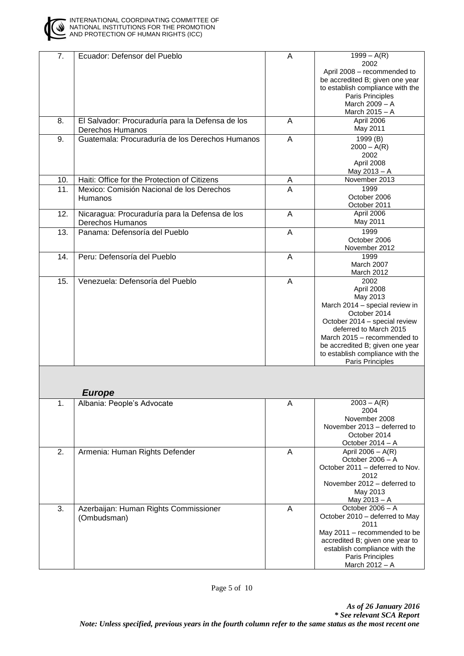

| 7.  | Ecuador: Defensor del Pueblo                                         | Α | $1999 - A(R)$<br>2002<br>April 2008 - recommended to<br>be accredited B; given one year<br>to establish compliance with the<br>Paris Principles<br>March 2009 - A<br>March 2015 - A                                                                                          |
|-----|----------------------------------------------------------------------|---|------------------------------------------------------------------------------------------------------------------------------------------------------------------------------------------------------------------------------------------------------------------------------|
| 8.  | El Salvador: Procuraduría para la Defensa de los<br>Derechos Humanos | A | April 2006<br>May 2011                                                                                                                                                                                                                                                       |
| 9.  | Guatemala: Procuraduría de los Derechos Humanos                      | A | 1999 (B)<br>$2000 - A(R)$<br>2002<br>April 2008<br>May 2013 - A                                                                                                                                                                                                              |
| 10. | Haiti: Office for the Protection of Citizens                         | Α | November 2013                                                                                                                                                                                                                                                                |
| 11. | Mexico: Comisión Nacional de los Derechos<br><b>Humanos</b>          | A | 1999<br>October 2006<br>October 2011                                                                                                                                                                                                                                         |
| 12. | Nicaragua: Procuraduría para la Defensa de los<br>Derechos Humanos   | A | April 2006<br>May 2011                                                                                                                                                                                                                                                       |
| 13. | Panama: Defensoría del Pueblo                                        | A | 1999<br>October 2006<br>November 2012                                                                                                                                                                                                                                        |
| 14. | Peru: Defensoría del Pueblo                                          | A | 1999<br>March 2007<br>March 2012                                                                                                                                                                                                                                             |
| 15. | Venezuela: Defensoría del Pueblo                                     | Α | 2002<br>April 2008<br>May 2013<br>March 2014 - special review in<br>October 2014<br>October 2014 - special review<br>deferred to March 2015<br>March 2015 - recommended to<br>be accredited B; given one year<br>to establish compliance with the<br><b>Paris Principles</b> |
|     | <b>Europe</b>                                                        |   |                                                                                                                                                                                                                                                                              |
| 1.  | Albania: People's Advocate                                           | Α | $2003 - A(R)$<br>2004<br>November 2008<br>November 2013 - deferred to<br>October 2014<br>October 2014 - A                                                                                                                                                                    |
| 2.  | Armenia: Human Rights Defender                                       | A | April $2006 - A(R)$<br>October 2006 - A<br>October 2011 - deferred to Nov.<br>2012<br>November 2012 - deferred to<br>May 2013<br>May 2013 - A                                                                                                                                |
| 3.  | Azerbaijan: Human Rights Commissioner<br>(Ombudsman)                 | A | October 2006 - A<br>October 2010 - deferred to May<br>2011<br>May 2011 - recommended to be<br>accredited B; given one year to<br>establish compliance with the<br>Paris Principles<br>March 2012 - A                                                                         |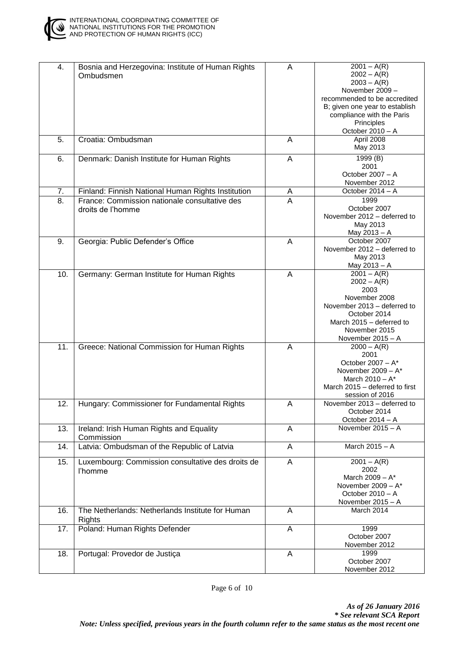

| 4.  | Bosnia and Herzegovina: Institute of Human Rights<br>Ombudsmen     | A              | $2001 - A(R)$<br>$2002 - A(R)$<br>$2003 - A(R)$<br>November 2009 -<br>recommended to be accredited<br>B; given one year to establish<br>compliance with the Paris<br>Principles<br>October 2010 - A |
|-----|--------------------------------------------------------------------|----------------|-----------------------------------------------------------------------------------------------------------------------------------------------------------------------------------------------------|
| 5.  | Croatia: Ombudsman                                                 | A              | April 2008<br>May 2013                                                                                                                                                                              |
| 6.  | Denmark: Danish Institute for Human Rights                         | A              | 1999(B)<br>2001<br>October 2007 - A<br>November 2012                                                                                                                                                |
| 7.  | Finland: Finnish National Human Rights Institution                 | <u>A</u>       | October 2014 - A                                                                                                                                                                                    |
| 8.  | France: Commission nationale consultative des<br>droits de l'homme | $\overline{A}$ | 1999<br>October 2007<br>November 2012 - deferred to<br>May 2013<br>May 2013 - A                                                                                                                     |
| 9.  | Georgia: Public Defender's Office                                  | A              | October 2007<br>November 2012 - deferred to<br>May 2013<br>May 2013 - A                                                                                                                             |
| 10. | Germany: German Institute for Human Rights                         | A              | $2001 - A(R)$<br>$2002 - A(R)$<br>2003<br>November 2008<br>November 2013 - deferred to<br>October 2014<br>March 2015 - deferred to<br>November 2015<br>November 2015 - A                            |
| 11. | Greece: National Commission for Human Rights                       | A              | $2000 - A(R)$<br>2001<br>October 2007 - $A^*$<br>November $2009 - A^*$<br>March $2010 - A^*$<br>March 2015 - deferred to first<br>session of 2016                                                   |
| 12. | Hungary: Commissioner for Fundamental Rights                       | A              | November 2013 - deferred to<br>October 2014<br>October 2014 - A                                                                                                                                     |
| 13. | Ireland: Irish Human Rights and Equality<br>Commission             | A              | November 2015 - A                                                                                                                                                                                   |
| 14. | Latvia: Ombudsman of the Republic of Latvia                        | A              | March 2015 - A                                                                                                                                                                                      |
| 15. | Luxembourg: Commission consultative des droits de<br>l'homme       | A              | $2001 - A(R)$<br>2002<br>March 2009 - A*<br>November $2009 - A^*$<br>October 2010 - A<br>November 2015 - A                                                                                          |
| 16. | The Netherlands: Netherlands Institute for Human<br>Rights         | A              | March 2014                                                                                                                                                                                          |
| 17. | Poland: Human Rights Defender                                      | A              | 1999<br>October 2007<br>November 2012                                                                                                                                                               |
| 18. | Portugal: Provedor de Justiça                                      | A              | 1999<br>October 2007<br>November 2012                                                                                                                                                               |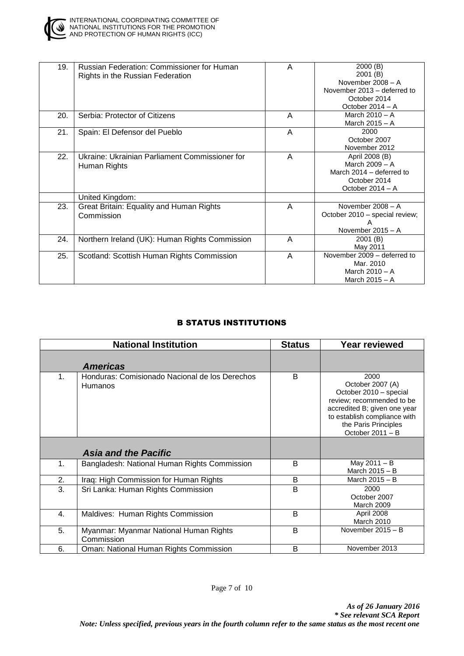

| 19. | <b>Russian Federation: Commissioner for Human</b><br>Rights in the Russian Federation | A | 2000(B)<br>2001 (B)<br>November 2008 - A |
|-----|---------------------------------------------------------------------------------------|---|------------------------------------------|
|     |                                                                                       |   |                                          |
|     |                                                                                       |   | November 2013 – deferred to              |
|     |                                                                                       |   | October 2014                             |
|     |                                                                                       |   | October 2014 - A                         |
| 20. | Serbia: Protector of Citizens                                                         | A | March $2010 - A$                         |
|     |                                                                                       |   | March 2015 - A                           |
| 21. | Spain: El Defensor del Pueblo                                                         | A | 2000                                     |
|     |                                                                                       |   | October 2007                             |
|     |                                                                                       |   | November 2012                            |
| 22. | Ukraine: Ukrainian Parliament Commissioner for                                        | A | April 2008 (B)                           |
|     | Human Rights                                                                          |   | March 2009 - A                           |
|     |                                                                                       |   | March 2014 – deferred to                 |
|     |                                                                                       |   | October 2014                             |
|     |                                                                                       |   | October 2014 - A                         |
|     | United Kingdom:                                                                       |   |                                          |
| 23. | Great Britain: Equality and Human Rights                                              | A | November $2008 - A$                      |
|     | Commission                                                                            |   | October 2010 – special review;           |
|     |                                                                                       |   | А                                        |
|     |                                                                                       |   | November $2015 - A$                      |
| 24. | Northern Ireland (UK): Human Rights Commission                                        | A | 2001 (B)                                 |
|     |                                                                                       |   | May 2011                                 |
| 25. | Scotland: Scottish Human Rights Commission                                            | A | November 2009 - deferred to              |
|     |                                                                                       |   | Mar. 2010                                |
|     |                                                                                       |   | March $2010 - A$                         |
|     |                                                                                       |   | March 2015 - A                           |
|     |                                                                                       |   |                                          |

### B STATUS INSTITUTIONS

|    | <b>National Institution</b>                                      | <b>Status</b> | <b>Year reviewed</b>                                                                                                                                                                        |
|----|------------------------------------------------------------------|---------------|---------------------------------------------------------------------------------------------------------------------------------------------------------------------------------------------|
|    | <b>Americas</b>                                                  |               |                                                                                                                                                                                             |
| 1. | Honduras: Comisionado Nacional de los Derechos<br><b>Humanos</b> | B             | 2000<br>October 2007 (A)<br>October 2010 - special<br>review; recommended to be<br>accredited B; given one year<br>to establish compliance with<br>the Paris Principles<br>October 2011 - B |
|    | <b>Asia and the Pacific</b>                                      |               |                                                                                                                                                                                             |
| 1. | Bangladesh: National Human Rights Commission                     | B             | May 2011 - B<br>March 2015 - B                                                                                                                                                              |
| 2. | Iraq: High Commission for Human Rights                           | B             | March $2015 - B$                                                                                                                                                                            |
| 3. | Sri Lanka: Human Rights Commission                               | B             | 2000<br>October 2007<br>March 2009                                                                                                                                                          |
| 4. | Maldives: Human Rights Commission                                | B             | April 2008<br><b>March 2010</b>                                                                                                                                                             |
| 5. | Myanmar: Myanmar National Human Rights<br>Commission             | B             | November $2015 - B$                                                                                                                                                                         |
| 6. | Oman: National Human Rights Commission                           | B             | November 2013                                                                                                                                                                               |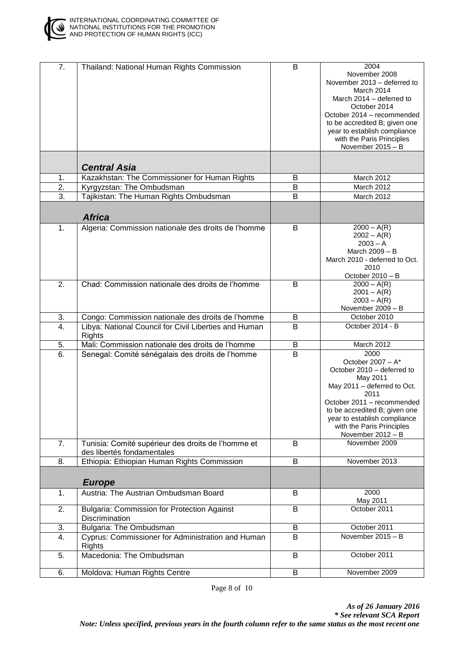

| 7.               | Thailand: National Human Rights Commission                                       | B                       | 2004<br>November 2008<br>November 2013 - deferred to<br>March 2014<br>March 2014 - deferred to<br>October 2014<br>October 2014 - recommended<br>to be accredited B; given one<br>year to establish compliance<br>with the Paris Principles<br>November 2015 - B |
|------------------|----------------------------------------------------------------------------------|-------------------------|-----------------------------------------------------------------------------------------------------------------------------------------------------------------------------------------------------------------------------------------------------------------|
|                  | <b>Central Asia</b>                                                              |                         |                                                                                                                                                                                                                                                                 |
| 1.               | Kazakhstan: The Commissioner for Human Rights                                    | B                       | March 2012                                                                                                                                                                                                                                                      |
| $\overline{2}$ . | Kyrgyzstan: The Ombudsman                                                        | B                       | March 2012                                                                                                                                                                                                                                                      |
| $\overline{3}$ . | Tajikistan: The Human Rights Ombudsman                                           | B                       | March 2012                                                                                                                                                                                                                                                      |
|                  | <b>Africa</b>                                                                    |                         |                                                                                                                                                                                                                                                                 |
| 1.               | Algeria: Commission nationale des droits de l'homme                              | B                       | $2000 - A(R)$<br>$2002 - A(R)$<br>$2003 - A$<br>March 2009 - B<br>March 2010 - deferred to Oct.<br>2010<br>October 2010 - B                                                                                                                                     |
| 2.               | Chad: Commission nationale des droits de l'homme                                 | B                       | $2000 - A(R)$<br>$2001 - A(R)$<br>$2003 - A(R)$<br>November 2009 - B                                                                                                                                                                                            |
| 3.               | Congo: Commission nationale des droits de l'homme                                | B                       | October 2010                                                                                                                                                                                                                                                    |
| $\overline{4}$ . | Libya: National Council for Civil Liberties and Human<br><b>Rights</b>           | B                       | October 2014 - B                                                                                                                                                                                                                                                |
| 5.               | Mali: Commission nationale des droits de l'homme                                 | $\sf B$                 | March 2012                                                                                                                                                                                                                                                      |
| 6.               | Senegal: Comité sénégalais des droits de l'homme                                 | $\overline{\mathsf{B}}$ | 2000<br>October 2007 - $A^*$<br>October 2010 - deferred to<br>May 2011<br>May 2011 - deferred to Oct.<br>2011<br>October 2011 - recommended<br>to be accredited B; given one<br>year to establish compliance<br>with the Paris Principles<br>November 2012 - B  |
| 7.               | Tunisia: Comité supérieur des droits de l'homme et<br>des libertés fondamentales | B                       | November 2009                                                                                                                                                                                                                                                   |
| 8.               | Ethiopia: Ethiopian Human Rights Commission                                      | B                       | November 2013                                                                                                                                                                                                                                                   |
|                  | <b>Europe</b>                                                                    |                         |                                                                                                                                                                                                                                                                 |
| 1.               | Austria: The Austrian Ombudsman Board                                            | B                       | 2000<br>May 2011                                                                                                                                                                                                                                                |
| 2.               | <b>Bulgaria: Commission for Protection Against</b><br>Discrimination             | B                       | October 2011                                                                                                                                                                                                                                                    |
| 3.               | Bulgaria: The Ombudsman                                                          | B                       | October 2011                                                                                                                                                                                                                                                    |
| 4.               | Cyprus: Commissioner for Administration and Human<br>Rights                      | B                       | November 2015 - B                                                                                                                                                                                                                                               |
| 5.               | Macedonia: The Ombudsman                                                         | B                       | October 2011                                                                                                                                                                                                                                                    |
| 6.               | Moldova: Human Rights Centre                                                     | B                       | November 2009                                                                                                                                                                                                                                                   |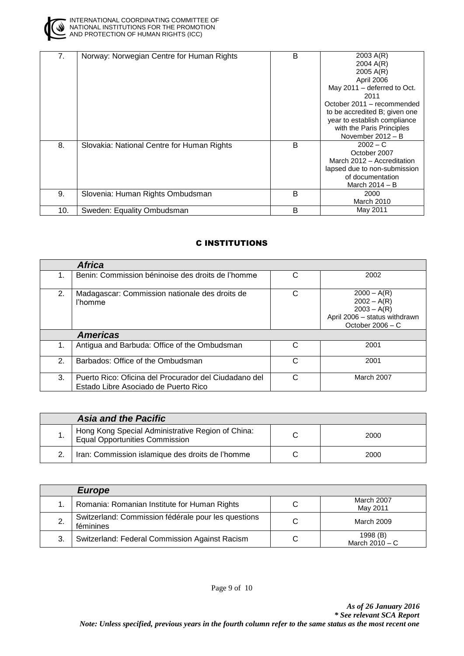

| 7.  | Norway: Norwegian Centre for Human Rights  | B | 2003 A(R)                     |
|-----|--------------------------------------------|---|-------------------------------|
|     |                                            |   | 2004 A(R)                     |
|     |                                            |   | 2005 A(R)                     |
|     |                                            |   | April 2006                    |
|     |                                            |   | May 2011 - deferred to Oct.   |
|     |                                            |   | 2011                          |
|     |                                            |   | October 2011 – recommended    |
|     |                                            |   | to be accredited B; given one |
|     |                                            |   | year to establish compliance  |
|     |                                            |   | with the Paris Principles     |
|     |                                            |   | November 2012 - B             |
| 8.  | Slovakia: National Centre for Human Rights | B | $2002 - C$                    |
|     |                                            |   | October 2007                  |
|     |                                            |   | March 2012 - Accreditation    |
|     |                                            |   | lapsed due to non-submission  |
|     |                                            |   | of documentation              |
|     |                                            |   | March $2014 - B$              |
| 9.  | Slovenia: Human Rights Ombudsman           | B | 2000                          |
|     |                                            |   | March 2010                    |
| 10. | Sweden: Equality Ombudsman                 | B | May 2011                      |

## C INSTITUTIONS

|              | <b>Africa</b>                                                                                 |   |                                                                                                        |
|--------------|-----------------------------------------------------------------------------------------------|---|--------------------------------------------------------------------------------------------------------|
| 1.           | Benin: Commission béninoise des droits de l'homme                                             | C | 2002                                                                                                   |
| 2.           | Madagascar: Commission nationale des droits de<br>l'homme                                     | C | $2000 - A(R)$<br>$2002 - A(R)$<br>$2003 - A(R)$<br>April 2006 - status withdrawn<br>October $2006 - C$ |
|              | <b>Americas</b>                                                                               |   |                                                                                                        |
| 1.           | Antigua and Barbuda: Office of the Ombudsman                                                  | C | 2001                                                                                                   |
| $\mathbf{2}$ | Barbados: Office of the Ombudsman                                                             | C | 2001                                                                                                   |
| 3.           | Puerto Rico: Oficina del Procurador del Ciudadano del<br>Estado Libre Asociado de Puerto Rico | C | March 2007                                                                                             |

|     | <b>Asia and the Pacific</b>                                                                |      |
|-----|--------------------------------------------------------------------------------------------|------|
| . . | Hong Kong Special Administrative Region of China:<br><b>Equal Opportunities Commission</b> | 2000 |
|     | Iran: Commission islamique des droits de l'homme                                           | 2000 |

|    | <b>Europe</b>                                                    |   |                              |
|----|------------------------------------------------------------------|---|------------------------------|
|    | Romania: Romanian Institute for Human Rights                     | С | March 2007<br>May 2011       |
|    | Switzerland: Commission fédérale pour les questions<br>féminines | С | March 2009                   |
| 3. | Switzerland: Federal Commission Against Racism                   | С | 1998 (B)<br>March $2010 - C$ |